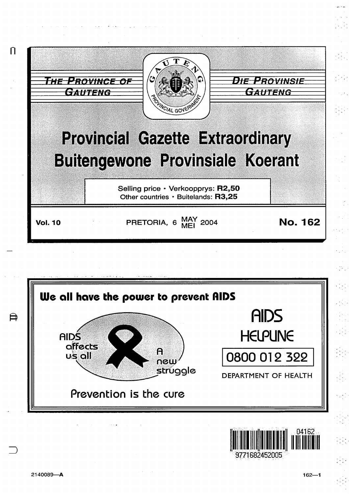

Prevention is the cure

 $162 - 1$ 

04162

DEPARTMENT OF HEALTH

II ~llllllllllilllllllllllllll

9771682452005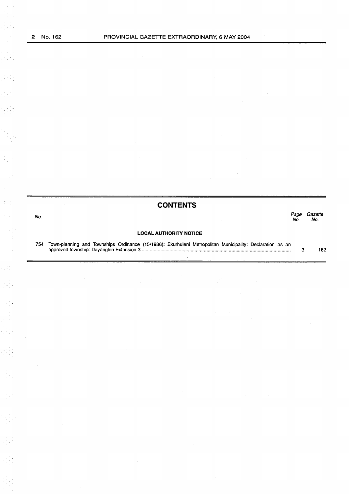$\frac{1}{2} \frac{1}{2} \frac{1}{2}$ 

 $\frac{1}{2}$ 

i, k

 $\frac{1}{2} \sum_{i=1}^{n} \frac{1}{2} \sum_{j=1}^{n} \frac{1}{2} \sum_{j=1}^{n} \frac{1}{2} \sum_{j=1}^{n} \frac{1}{2} \sum_{j=1}^{n} \frac{1}{2} \sum_{j=1}^{n} \frac{1}{2} \sum_{j=1}^{n} \frac{1}{2} \sum_{j=1}^{n} \frac{1}{2} \sum_{j=1}^{n} \frac{1}{2} \sum_{j=1}^{n} \frac{1}{2} \sum_{j=1}^{n} \frac{1}{2} \sum_{j=1}^{n} \frac{1}{2} \sum_{j=1}^{n$ 

| <b>CONTENTS</b> |                                                                                                          |            |                |
|-----------------|----------------------------------------------------------------------------------------------------------|------------|----------------|
| No.             |                                                                                                          | Page<br>Nο | Gazette<br>No. |
|                 | <b>LOCAL AUTHORITY NOTICE</b>                                                                            |            |                |
| 754             | Town-planning and Townships Ordinance (15/1986): Ekurhuleni Metropolitan Municipality: Declaration as an | 3          | 162            |

 $\hat{\mathcal{A}}$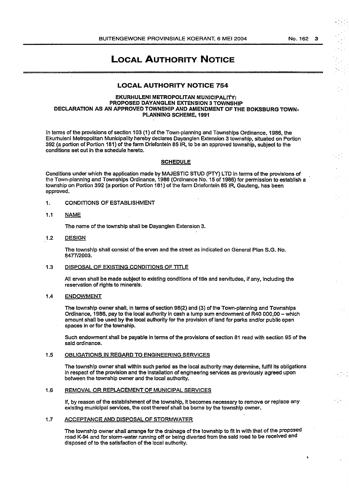No. 162 3

 $\overline{A}$ 

# LOCAL AUTHORITY NOTICE

# LOCAL AUTHORITY NOTICE 754

#### EKURHULENI METROPOLITAN MUNICIPALITY: PROPOSED DAYANGLEN EXTENSION 3 TOWNSHIP DECLARATION AS AN APPROVED TOWNSHIP AND AMENDMENT OF THE BOKSBURG TOWN-PLANNING SCHEME, 1991

In tenns of the provisions of section 103 (1) of the Town-planning and Townships Ordinance, 1986, the Ekurhuleni Metropolitan Municipality hereby declares Dayanglen Extension 3 township, situated on Portion 392 (a portion of Portion 181) of the farm Driefontein 85 IR, to be an approved township, subject to the conditions set out in the schedule hereto.

#### **SCHEDULE**

Conditions under which the application made by MAJESTIC STUD (PTY) LTD in terms of the provisions of the Town-planning and Townships Ordinance, 1986 {Ordinance No. 15 of 1986) for permission to establish a township on Portion 392 (a portion of Portion 161) of the farm Driefontein 85 IR, Gauteng, has been approved.

1. CONDITIONS OF ESTABLISHMENT

# 1.1 NAME

The name of the township shall be Dayanglen Extension 3.

1.2 DESIGN

The township shall consist of the erven and the street as indicated on General Plan S.G. No. 8477/2003.

#### 1.3 DISPOSAL OF EXISTING CONDITIONS OF TITLE

Ali erven shall be made subject to existing conditions of title and servitudes, if any, including the reservation of rights to minerals.

#### 1.4 ENDOWMENT

The township owner shall, in terms of section 98(2) and (3) of the Town-planning and Townships Ordinance, 1986, pay to the local authority in cash a lump sum endowment of R40 000,00- which amount shall be used by the local authority for the provision of land for parks and/or public open spaces in or for the township.

Such endowment shall be payable In tenns of the provisions of section 81 read with section 95 of the said ordinance.

#### 1.5 OBLIGATIONS IN REGARD TO ENGINEERING SERVICES

The township owner shall within such period as the local authority may determine, fulfil its obligations in respect of the provision and the installation of engineering services as previously agreed upon between the township owner and the local authority.

### 1.6 REMOVAL OR REPLACEMENT OF MUNICIPAL SERVICES

If, by reason of the establishment of the township, It becomes necessary to remove or replace any existing municipal services, the cost thereof shall be borne by the township owner.

#### 1.7 ACCEPTANCE AND DISPOSAL OF STORMWATER

The township owner shall arrange for the drainage of the township to fit in with that of the proposed road K-94 and for storm-water running off or being diverted from the said road to be received and disposed of to the satisfaction of the local authority.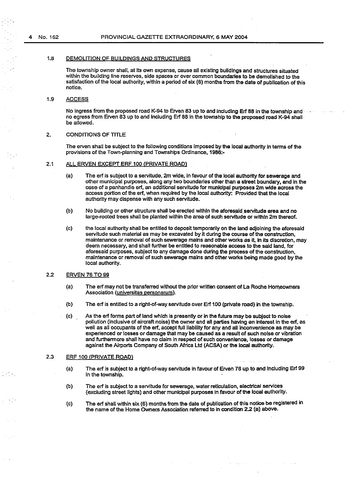#### 1.8 DEMOLITION OF BUILDINGS AND STRUCTURES

The township owner shall, at its own expense, cause all existing buildings and structures situated within the building line reserves, side spaces or over common boundaries to be demolished to the satisfaction of the local authority, within a period of six (6) months from the date of publication of this notice.

# 1.9 ACCESS

No ingress from the proposed road K-94 to Erven·83 up to and including Erf 88 in the township and no egress from Erven 83 up to and Including Erf 88 in the township to the proposed road K-94 shall be allowed.

# 2. CONDITIONS OF TITLE

The erven shall be subject to the following conditions imposed by the local authority in terms of the provisions of the Town-planning and Townships Ordinance, 1986:-

# 2.1 ALL ERVEN EXCEPT ERF 100 {PRIVATE ROAD)

- (a) The erf is subject to a servitude, 2m wide, in favour of the local authority for sewerage and other municipal purposes, along any two boundaries other than a street boundary, and in the case of a panhandle erf, an additional servitude for municipal purposes 2m wide across the access portion of the erf, when required by the local authority: Provided that the local authority may dispense with any such servitude.
- (b) No building or other structure shall be erected within the aforesaid servitude area and no large-rooted trees shall be planted within the area· of such servitude or within 2m thereof.
- (c) the local authority shall be entitled to deposit temporarily on the land adjoining the aforesaid servitude such material as may be excavated by it during the course of the construction, maintenance or removal of such sewerage mains and other works as it, in its discretion, may deem necessary, and shall further be entitled to reasonable access to the said land, for aforesaid purposes, subject to any damage done during the process of the construction, maintenance or removal of such sewerage mains and other works being made good by the local authority.

#### 2.2 ERVEN 76 TO 99

- (a) The erf may not be transferred without the prior written consent of La Roche Homeowners Association (universitas personarum).
- (b) The erf is entitled to a right-of-way servitude over Erf 100 (private road) in the township.
- (c) As the erf forms part of land which is presently or in the future may be subject to noise pollution (inclusive of aircraft noise) the owner and all parties having an interest in the erf, as well as all occupants of the erf, accept full liability for any and all inconvenience as may be experienced or losses or damage that may be caused as a result of such noise or vibration and furthermore shall have no claim in respect of such convenience, losses or damage against the Airports Company of South Africa ltd (ACSA) or the local authority.

#### 2.3 ERF 100 {PRIVATE ROAD)

- (a) The erf is subject to a right-of-way servitude in favour of Erven 76 up to and including Erf 99 in the township.
- (b) The erf is subject to a servitude for sewerage, water reticulation, electrical services (excluding street lights) and other municipal purposes in favour of the local authority.
- (c) The erf shall within six (6} months from the date of publication of this notice be registered in the name of the Home Owners Association referred to in condition 2.2 (a) above.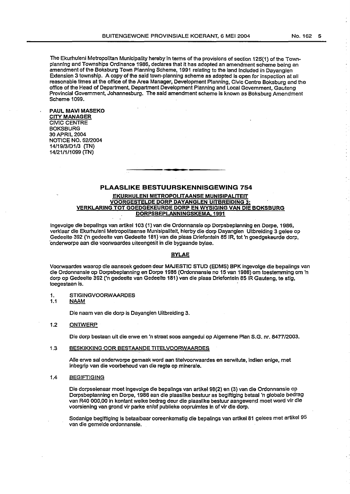The Ekurhuleni Metropolitan Municipality hereby in terms of the provisions of section 125{1) of the Townplanning and Townships Ordinance 1986, declares that it has adopted an amendment scheme being an amendment of the Boksburg Town Planning Scheme, 1991 relating to the land Included in Dayanglen Extension 3 township. A copy of the said town-planning scheme as adopted is open for inspection at all reasonable times at the office of the Area Manager, Development Planning, Civic Centre Boksburg and the office of the Head of Department, Department Development Planning and Local Government, Gauteng Provincial Government, Johannesburg. The said amendment scheme is known as Boksburg Amendment Scheme 1099.

#### PAUL MAVI MASEKO CITY MANAGER CIVIC CENTRE **BOKSBURG** 30 APRIL 2004 NOTICE NO. 5212004 14119/3/0113 (TN) 14/21/1/1099 (TN)

# PLAASLIKE BESTUURSKENNISGEWING 754 EKURHULENI METROPOLITAANSE MUNISIPALITEIT VOORGESTELDE DORP DAYANGLEN UITBREIDING 3: VERKLARING TOT GOEDGEKEURDE DORP EN WYSIGING VAN DIE BOKSBURG DORPSBEPLANNINGSKEMA, 1991

lngevolge die bepallngs van artikel 103 (1) van die Ordonnansie op Dorpsbeplanning en Dorpe, 1986, verklaar die Ekurhuleni Metropolitaanse Munisipaiiteit, hierby die dorp Dayanglen Uitbreiding 3 gelee op Gedeelte 392 ('n gedeelte van Gedeelte 181) van die plaas Driefontein 851R, tot 'n goedgekeurde dorp, ·onderworpe aan die voorwaardes uiteengesit in die bygaande bylae.

# BYLAE

Voorwaardes waarop die aansoek gedoen deur MAJESTIC STUD (EDMS) BPK ingevolge die bepalings van die Ordonnansie op Dorpsbeplanning en Dorpe 1986 (Ordonnansie no 15 van 1986) om toestemmlng om 'n dorp op Gedeeite 392 ('n gedeelte van Gedeelte 181) van die plaas Driefonteln 851R Gauteng, te stig, toegestaan is.

- 1. STIGINGVOORWAARDES
- 1.1 NAAM

Die naam van die dorp is Dayanglen Uitbreiding 3.

1.2 ONTWERP

Die dorp bestaan uit die erwe en 'n straat soos aangedui op Algemene Plan S.G. nr. 8477/2003.

#### 1.3 BESKIKKING OOR BESTAANDE TITELVOORWAARDES

Aile erwe sal onderworpe gemaak word aan titelvoorwaardes en serwitute, indien enige, met inbegrip van die voorbehoud van die regte op minerale.

#### 1.4 BEGIFTIGING

Die dorpseienaar moet ingevolge die bepallngs van artikel 98(2) en (3) van die Ordonnansie op Dorpsbeplanning en Dorpe, 1986 aan die plaaslike bestuur as begiftiging betaal 'n globale bedrag van R40 000,00 in kontant welke bedrag deur die plaasllke bestuur aangewend moet word vir die voorsiening van grand vir parke enfof publieke oopruimtes in of vir die dorp.

Sodanige begiftiging is betaalbaar ooreenkomstig die bepalings van artikel 81 gelees met artikel 95 van die gemelde ordonnansle.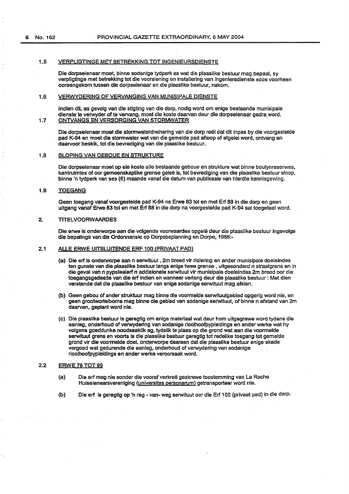# 1.5 VERPLIGTINGE MET BETREKKING TOT INGENIEURSDIENSTE

Die dorpseienaar meet, binne sodanige tydperk as wat die plaaslike bestuur mag bepaal, sy verpligtinge met betrekking tot die voorsiening en installering van ingeniersdienste soos voorheen ooreengekom tussen die dorpseienaar en die plaaslike bestuur, nakom.

# 1.6 VERWYDERING OF VERVANGING VAN MUNISIPALE DIENSTE

lndien dit, as gevolg van die stigting van die dorp, nodig word om enlge bestaande munisipaie dienste te verwyder of te vervang, moet die koste daarvan deur die dorpseienaar gedra word. 1.7 ONTVANGS EN VERSORGING VAN STORMWATER .

Die dorpseienaar moet die stormwaterdreinering van die dorp reël dat dit inpas by die voorgestelde pad K-94 en meet die stormwater wat van die gemelde pad afloop of afgelei word, ontvang en daarvoor beskik, tot die bevrediging van die plaaslike bestuur.

### 1.8 SLOPING VAN GEBOUE EN STRUKTURE

Die dorpseienaar meet op eie koste aile bestaande geboue en strukture wat binne boulynreserwes, kantrulmtes of ocr gemeenskaplike grense gelee is, tot bevrediging van die plaaslike bestuur sloop, binne 'n tydperk van ses (6) maande vanaf die datum van publikasie van hierdie kennlsgewing.

#### 1.9 TOEGANG

Geen toegang vanaf voorgesteide pad K-94 na Erwe 83 tot en met Erf 88 in die dorp en geen uitgang vanaf Erwe 83 tot en met Erf 88 in die dorp na voorgestelde pad K-94 sal toegelaat word.

#### 2. TITELVOORWAARDES

Die erwe is onderworpe aan die volgende voorwaardes opgelê deur die plaaslike bestuur ingevolge die bepalings van die Ordonnansle op Dorpsbeplanning en Dorpe, 1986:-

# 2.1 ALLE ERWE UITSLUITENDE ERF 100 (PRIVAAT PAD)

- (a) Die erf is onderworpe aan n serwituut , 2m breed vir riolering en ander munisipale doeleindes ten gunste van die plaaslike bestuur langs enige twee grense, uitgesonderd n straatgrens en in die geval van n pypsteelerf n addisionele serwituut vir munisipale doeleindes 2m breed oor die toegangsgedeelte van die erf indien en wanneer verlang deur die plaaslike bestuur : Met dien verstande dat die plaaslike bestuur van enige sodanige serwituut mag afsien.
- (b) Geen gebou of ander struktuur mag binne die voormelde serwituutgebied opgerig word nie, en geen grootwortelbome mag binne die gebied van sodanige serwituut, of binne n afstand van 2m daarvan, geplant word nie.
- (c) Die plaaslike bestuur is gereg1ig om enige materiaal wat deur hom uitgegrawe word tydens die aanleg, onderhoud of verwydering van sodanige rioolhoofpypleidings en ander werke wat hy volgens goeddunke noodsaaklik ag, tydelik te plaas op die grand wat aan die voormelde serwituut grens en voorts is die plasslike bestuur geregtig tot redelike toegang tot gemelde grond vir die voormelde doel, onderworpe daaraan dat die plaaslike bestuur enige skade vergoed wat gedurende die aanleg, onderhoud of verwydering van sodanige rioolhoofpypleidings en ander werke veroorsaak word.

# 2.2 ERWE 76 TOT 99

- (a) Die erf mag nie sonder die vooraf verkreë geskrewe toestemming van La Roche Huiseienaarsvereniging (universitas personarum) getransporteer word nie.
- (b) Die erf is geregtig op 'n reg -van- weg serwituut ocr die Erf 100 (privaat pad) in die dorp.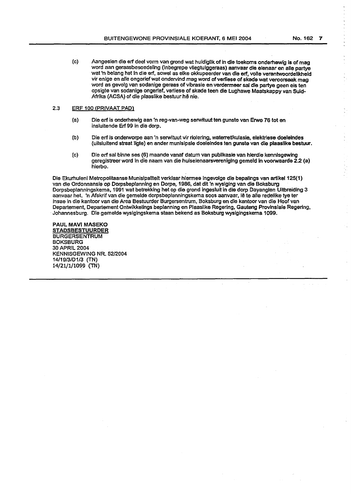(c) Aangesien die erf deel vorm van grond wat huidiglik of in die toekoms onderhewig is of mag word aan geraasbesoedeling (lnbegrepe vliegtuiggeraas) aanvaar die elenaar en aile partye wat 'n belang het in die erf, sowel as elke okkupeerder van die erf, volle verantwoordelikheid vir enige en aile ongerief wat ondervind mag word of verliese of skade wat veroorsaak mag word as gevolg van sodanige geraas of vibrasie en verdermeer sal die partye geen eis ten opsigte van sodanige ongerief, vertiese of skade teen die Lughawe Maatskappy van Suid-Afrika (ACSA) of die plaaslike bestuur hê nie.

# 2.3 ERF 100 (PRIVAAT PAD)

- (a) Die erf is onderhewlg aan 'n reg-van-weg serwituut ten gunste van Erwe 76 tot en insluitende Erf 99 in die dorp.
- {b) Die erf is onderworpe aan 'n serwituut vir riolering, waterretikulasie, elektrlese doelelndes (uitsluitend straat ligte) en ander munisipale doelelndes ten gunste van die plaasllke bestuur.
- (c) Die erf sal binne ses (6) maande vanaf datum van publlkasie van hlerdie kennlsgewing geregistreer word in die naam van die huiselenaarsvereniglng gemeld in voorwaarde 2.2 (a) hierbo.

 $\bar{z}$ 

Die Ekurhuleni Metropolitaanse Munislpaliteit verklaar hlermee ingevolge die bepalings van artikel 125(1) van die Ordonnansie op Dorpsbeplanning en Dorpe, 1986, dat dit 'n wysiglng van die Boksburg Dorpsbeplanningskema, 1991 wat betrekking het op die grond ingesluit in die dorp Dayanglen Ultbreiding 3 aanvaar het. 'n Afskrif van die gemelde dorpsbeplanningskema soos aanvaar, Iê te alle redelike tye ter lnsae in die kantoor van die Area Bestuurder Burgersentrum, Boksburg en die kantoor van die Hoof van Departement, Departement Ontwikkelings beplanning en Plaaslike Regering, Gauteng Provlnsiale Regering, ·Johannesburg. Die gemelde wysigingskema staan bekend as Boksburg wysigingskema 1099.

PAUL MAVI MASEKO **STADSBESTUURDER** BURGERSENTRUM BOKSBURG 30 APRIL 2004 KENNISGEWING NR. 52/2004 14/19/3/D1/3 (TN) 14/21/1/1099 (TN)